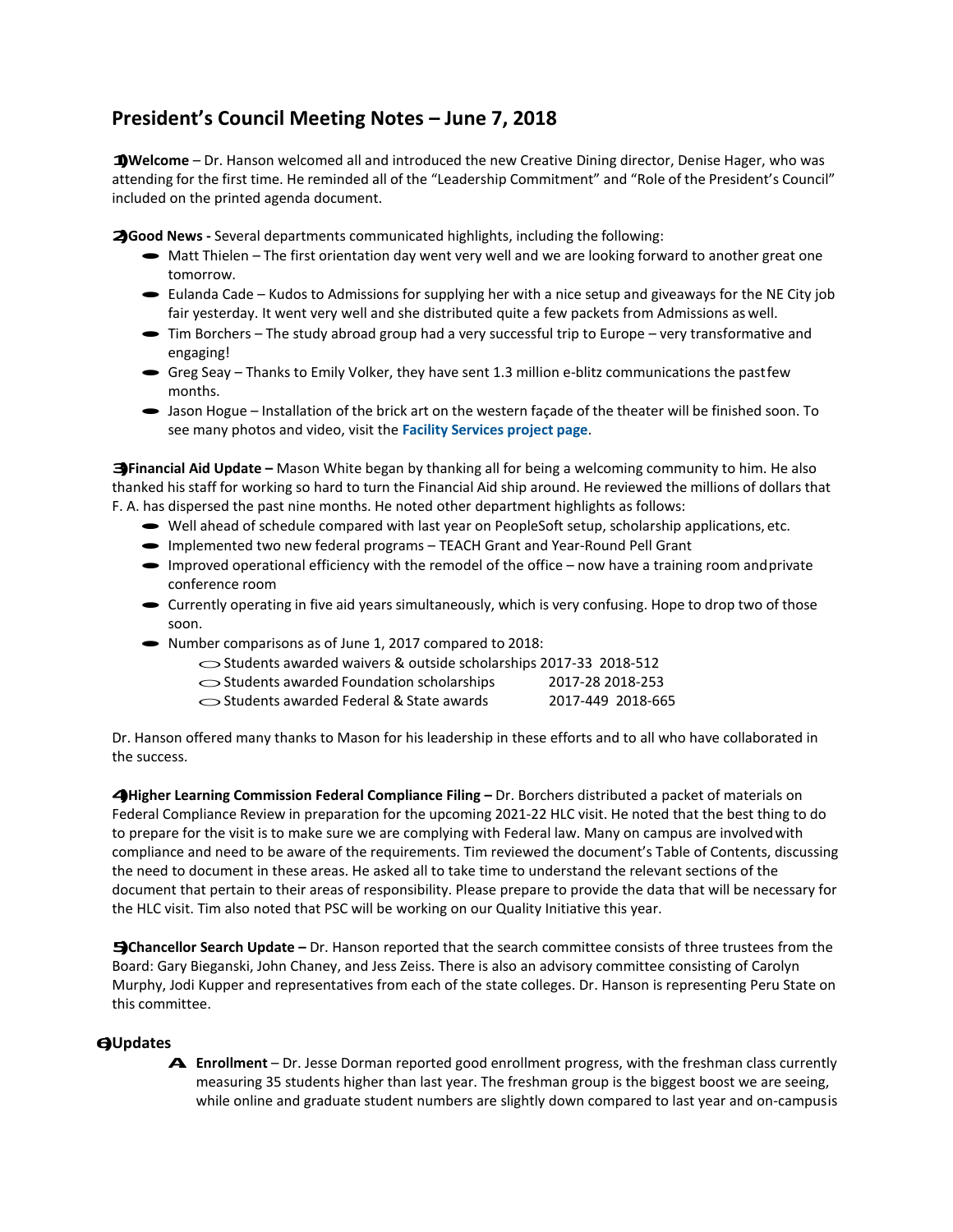## **President's Council Meeting Notes – June 7, 2018**

**1)Welcome** – Dr. Hanson welcomed all and introduced the new Creative Dining director, Denise Hager, who was attending for the first time. He reminded all of the "Leadership Commitment" and "Role of the President's Council" included on the printed agenda document.

**2)Good News -** Several departments communicated highlights, including the following:

- Matt Thielen The first orientation day went very well and we are looking forward to another great one tomorrow.
- · Eulanda Cade Kudos to Admissions for supplying her with a nice setup and giveaways for the NE City job fair yesterday. It went very well and she distributed quite a few packets from Admissions as well.
- · Tim Borchers The study abroad group had a very successful trip to Europe very transformative and engaging!
- $\bullet$  Greg Seay Thanks to Emily Volker, they have sent 1.3 million e-blitz communications the pastfew months.
- · Jason Hogue Installation of the brick art on the western façade of the theater will be finished soon. To see many photos and video, visit the **[Facility Services project](http://www.peru.edu/services/?page_id=3390) page**.

**3)Financial Aid Update –** Mason White began by thanking all for being a welcoming community to him. He also thanked his staff for working so hard to turn the Financial Aid ship around. He reviewed the millions of dollars that F. A. has dispersed the past nine months. He noted other department highlights as follows: has dispersed the past nine months. He noted other department highlights as follows:<br>
• Well ahead of schedule compared with last year on PeopleSoft setup, scholarship applications, etc.

- Well ahead of schedule compared with last year on PeopleSoft setup, scholarship a<br>• Implemented two new federal programs TEACH Grant and Year-Round Pell Grant
- 
- Implemented two new federal programs TEACH Grant and Year-Round Pell Grant<br>• Improved operational efficiency with the remodel of the office now have a training room and private conference room
- · Currently operating in five aid years simultaneously, which is very confusing. Hope to drop two of those soon.
- · Number comparisons as of June 1, 2017 compared to 2018:
- bber comparisons as of June 1, 2017 compared to 2018:<br>
Students awarded waivers & outside scholarships 2017-33 2018-512
	- oStudents awarded Foundation scholarships 2017-28 2018-253 oStudents awarded Federal & State awards 2017-449 2018-665
	-

Dr. Hanson offered many thanks to Mason for his leadership in these efforts and to all who have collaborated in the success.

**4)Higher Learning Commission Federal Compliance Filing –** Dr. Borchers distributed a packet of materials on Federal Compliance Review in preparation for the upcoming 2021-22 HLC visit. He noted that the best thing to do to prepare for the visit is to make sure we are complying with Federal law. Many on campus are involvedwith compliance and need to be aware of the requirements. Tim reviewed the document's Table of Contents, discussing the need to document in these areas. He asked all to take time to understand the relevant sections of the document that pertain to their areas of responsibility. Please prepare to provide the data that will be necessary for the HLC visit. Tim also noted that PSC will be working on our Quality Initiative this year.

**5)Chancellor Search Update –** Dr. Hanson reported that the search committee consists of three trustees from the Board: Gary Bieganski, John Chaney, and Jess Zeiss. There is also an advisory committee consisting of Carolyn Murphy, Jodi Kupper and representatives from each of the state colleges. Dr. Hanson is representing Peru State on this committee.

## **6)Updates**

**A. Enrollment** – Dr. Jesse Dorman reported good enrollment progress, with the freshman class currently measuring 35 students higher than last year. The freshman group is the biggest boost we are seeing, while online and graduate student numbers are slightly down compared to last year and on-campusis